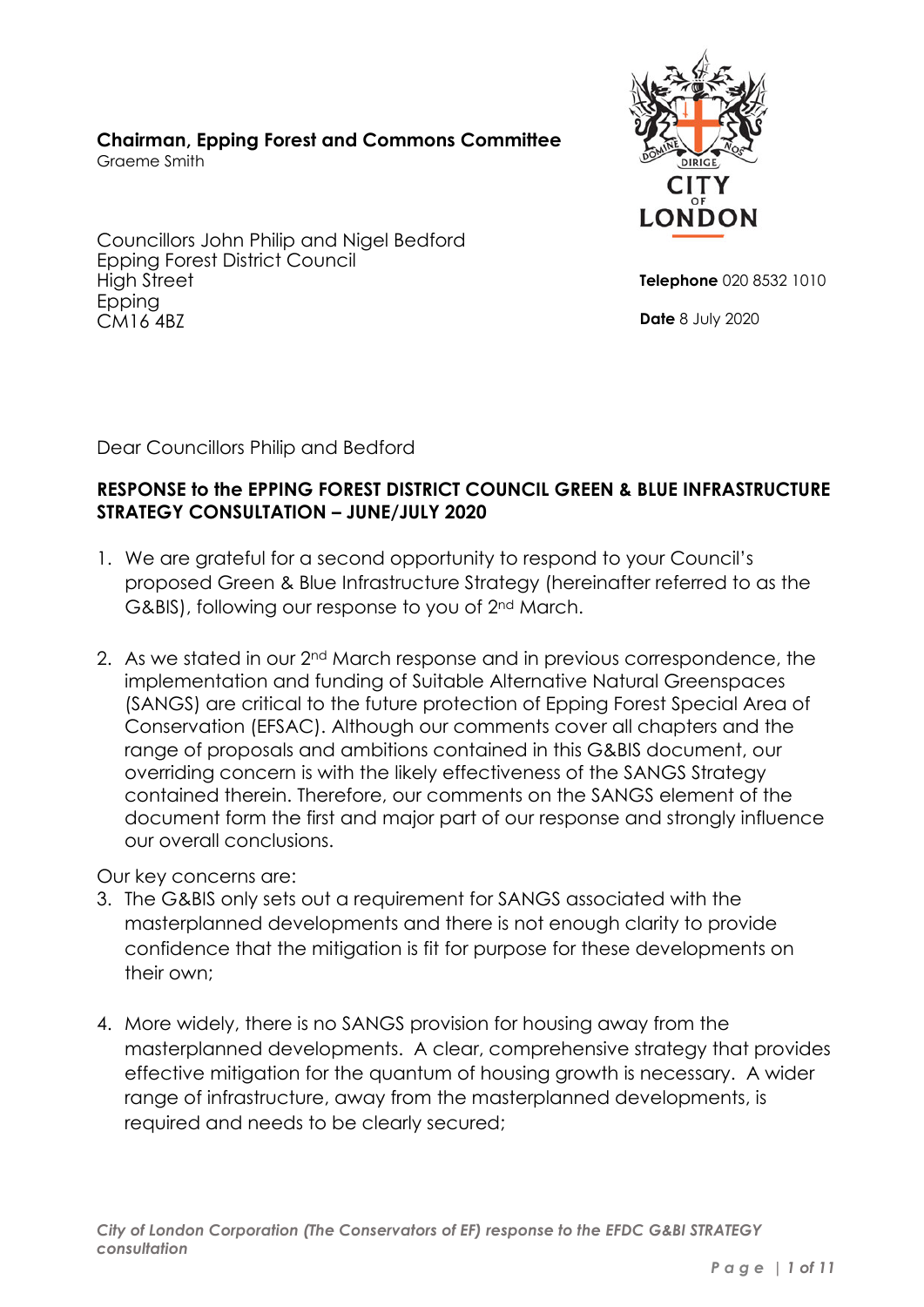# **Chairman, Epping Forest and Commons Committee**

Graeme Smith





**Telephone** 020 8532 1010

**Date** 8 July 2020

Dear Councillors Philip and Bedford

# **RESPONSE to the EPPING FOREST DISTRICT COUNCIL GREEN & BLUE INFRASTRUCTURE STRATEGY CONSULTATION – JUNE/JULY 2020**

- 1. We are grateful for a second opportunity to respond to your Council's proposed Green & Blue Infrastructure Strategy (hereinafter referred to as the G&BIS), following our response to you of 2nd March.
- 2. As we stated in our 2nd March response and in previous correspondence, the implementation and funding of Suitable Alternative Natural Greenspaces (SANGS) are critical to the future protection of Epping Forest Special Area of Conservation (EFSAC). Although our comments cover all chapters and the range of proposals and ambitions contained in this G&BIS document, our overriding concern is with the likely effectiveness of the SANGS Strategy contained therein. Therefore, our comments on the SANGS element of the document form the first and major part of our response and strongly influence our overall conclusions.

Our key concerns are:

- 3. The G&BIS only sets out a requirement for SANGS associated with the masterplanned developments and there is not enough clarity to provide confidence that the mitigation is fit for purpose for these developments on their own;
- 4. More widely, there is no SANGS provision for housing away from the masterplanned developments. A clear, comprehensive strategy that provides effective mitigation for the quantum of housing growth is necessary. A wider range of infrastructure, away from the masterplanned developments, is required and needs to be clearly secured;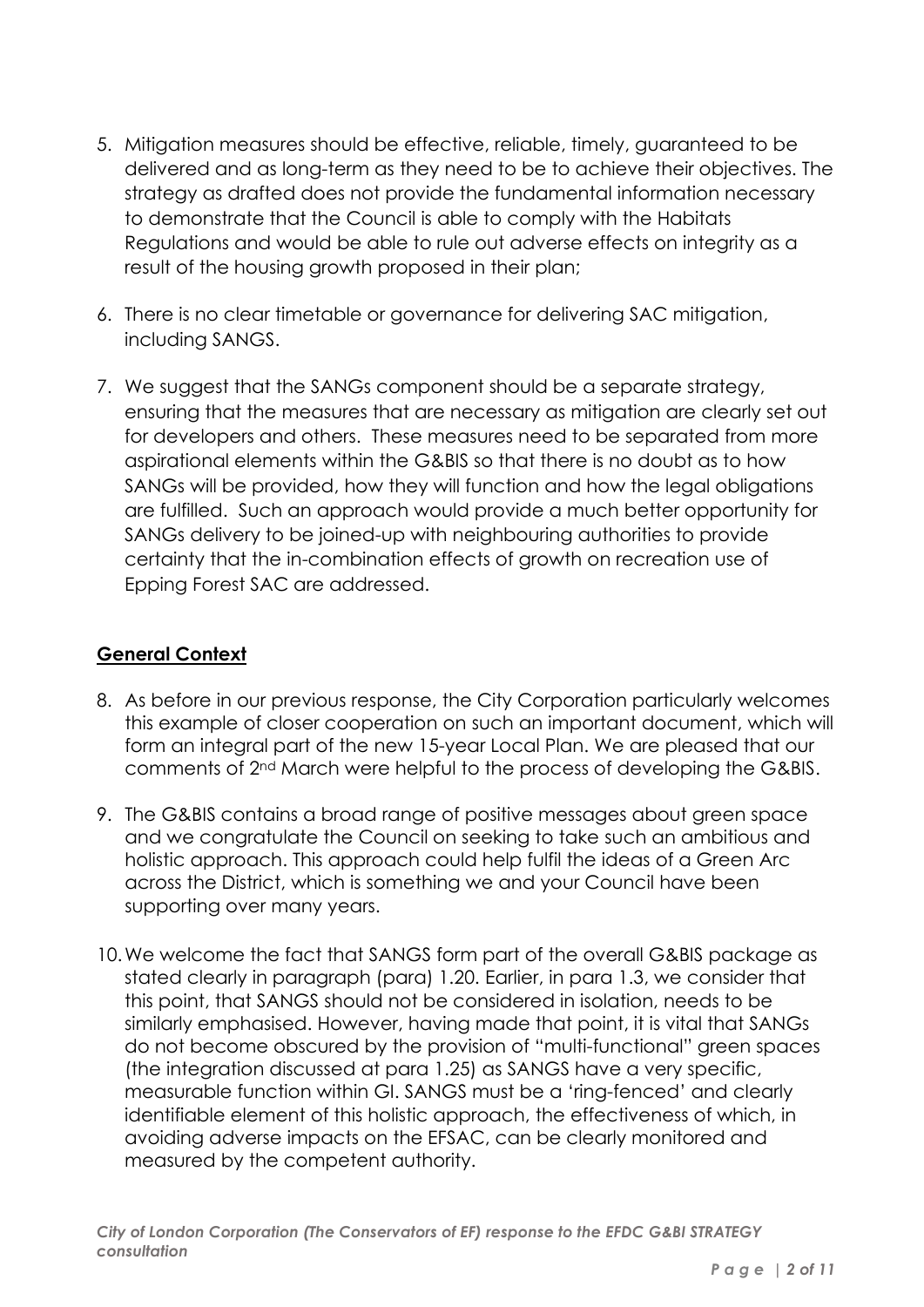- 5. Mitigation measures should be effective, reliable, timely, guaranteed to be delivered and as long-term as they need to be to achieve their objectives. The strategy as drafted does not provide the fundamental information necessary to demonstrate that the Council is able to comply with the Habitats Regulations and would be able to rule out adverse effects on integrity as a result of the housing growth proposed in their plan;
- 6. There is no clear timetable or governance for delivering SAC mitigation, including SANGS.
- 7. We suggest that the SANGs component should be a separate strategy, ensuring that the measures that are necessary as mitigation are clearly set out for developers and others. These measures need to be separated from more aspirational elements within the G&BIS so that there is no doubt as to how SANGs will be provided, how they will function and how the legal obligations are fulfilled. Such an approach would provide a much better opportunity for SANGs delivery to be joined-up with neighbouring authorities to provide certainty that the in-combination effects of growth on recreation use of Epping Forest SAC are addressed.

### **General Context**

- 8. As before in our previous response, the City Corporation particularly welcomes this example of closer cooperation on such an important document, which will form an integral part of the new 15-year Local Plan. We are pleased that our comments of 2nd March were helpful to the process of developing the G&BIS.
- 9. The G&BIS contains a broad range of positive messages about green space and we congratulate the Council on seeking to take such an ambitious and holistic approach. This approach could help fulfil the ideas of a Green Arc across the District, which is something we and your Council have been supporting over many years.
- 10.We welcome the fact that SANGS form part of the overall G&BIS package as stated clearly in paragraph (para) 1.20. Earlier, in para 1.3, we consider that this point, that SANGS should not be considered in isolation, needs to be similarly emphasised. However, having made that point, it is vital that SANGs do not become obscured by the provision of "multi-functional" green spaces (the integration discussed at para 1.25) as SANGS have a very specific, measurable function within GI. SANGS must be a 'ring-fenced' and clearly identifiable element of this holistic approach, the effectiveness of which, in avoiding adverse impacts on the EFSAC, can be clearly monitored and measured by the competent authority.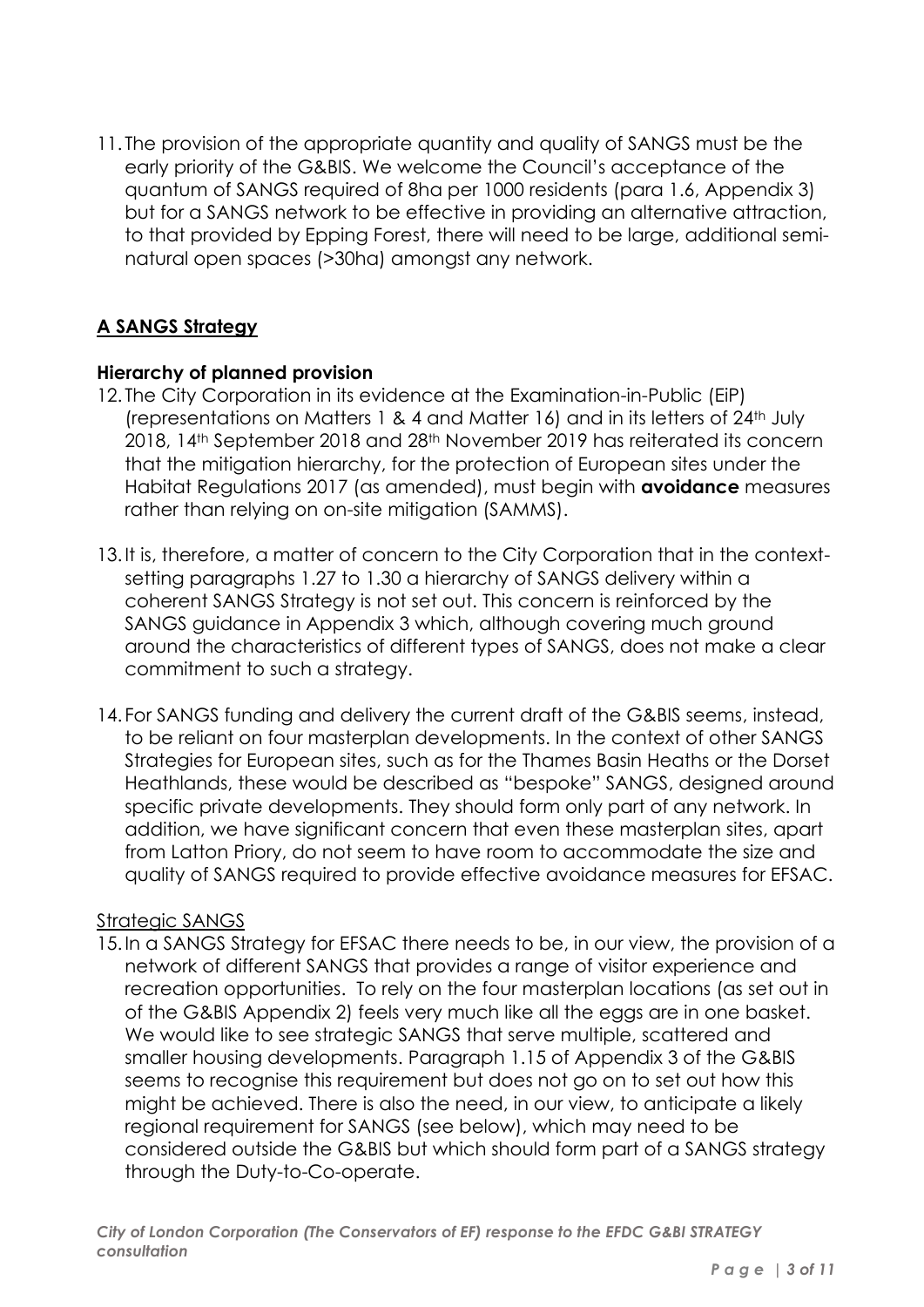11. The provision of the appropriate quantity and quality of SANGS must be the early priority of the G&BIS. We welcome the Council's acceptance of the quantum of SANGS required of 8ha per 1000 residents (para 1.6, Appendix 3) but for a SANGS network to be effective in providing an alternative attraction, to that provided by Epping Forest, there will need to be large, additional seminatural open spaces (>30ha) amongst any network.

# **A SANGS Strategy**

#### **Hierarchy of planned provision**

- 12. The City Corporation in its evidence at the Examination-in-Public (EiP) (representations on Matters 1 & 4 and Matter 16) and in its letters of 24th July 2018, 14th September 2018 and 28th November 2019 has reiterated its concern that the mitigation hierarchy, for the protection of European sites under the Habitat Regulations 2017 (as amended), must begin with **avoidance** measures rather than relying on on-site mitigation (SAMMS).
- 13.It is, therefore, a matter of concern to the City Corporation that in the contextsetting paragraphs 1.27 to 1.30 a hierarchy of SANGS delivery within a coherent SANGS Strategy is not set out. This concern is reinforced by the SANGS guidance in Appendix 3 which, although covering much ground around the characteristics of different types of SANGS, does not make a clear commitment to such a strategy.
- 14. For SANGS funding and delivery the current draft of the G&BIS seems, instead, to be reliant on four masterplan developments. In the context of other SANGS Strategies for European sites, such as for the Thames Basin Heaths or the Dorset Heathlands, these would be described as "bespoke" SANGS, designed around specific private developments. They should form only part of any network. In addition, we have significant concern that even these masterplan sites, apart from Latton Priory, do not seem to have room to accommodate the size and quality of SANGS required to provide effective avoidance measures for EFSAC.

# Strategic SANGS

15.In a SANGS Strategy for EFSAC there needs to be, in our view, the provision of a network of different SANGS that provides a range of visitor experience and recreation opportunities. To rely on the four masterplan locations (as set out in of the G&BIS Appendix 2) feels very much like all the eggs are in one basket. We would like to see strategic SANGS that serve multiple, scattered and smaller housing developments. Paragraph 1.15 of Appendix 3 of the G&BIS seems to recognise this requirement but does not go on to set out how this might be achieved. There is also the need, in our view, to anticipate a likely regional requirement for SANGS (see below), which may need to be considered outside the G&BIS but which should form part of a SANGS strategy through the Duty-to-Co-operate.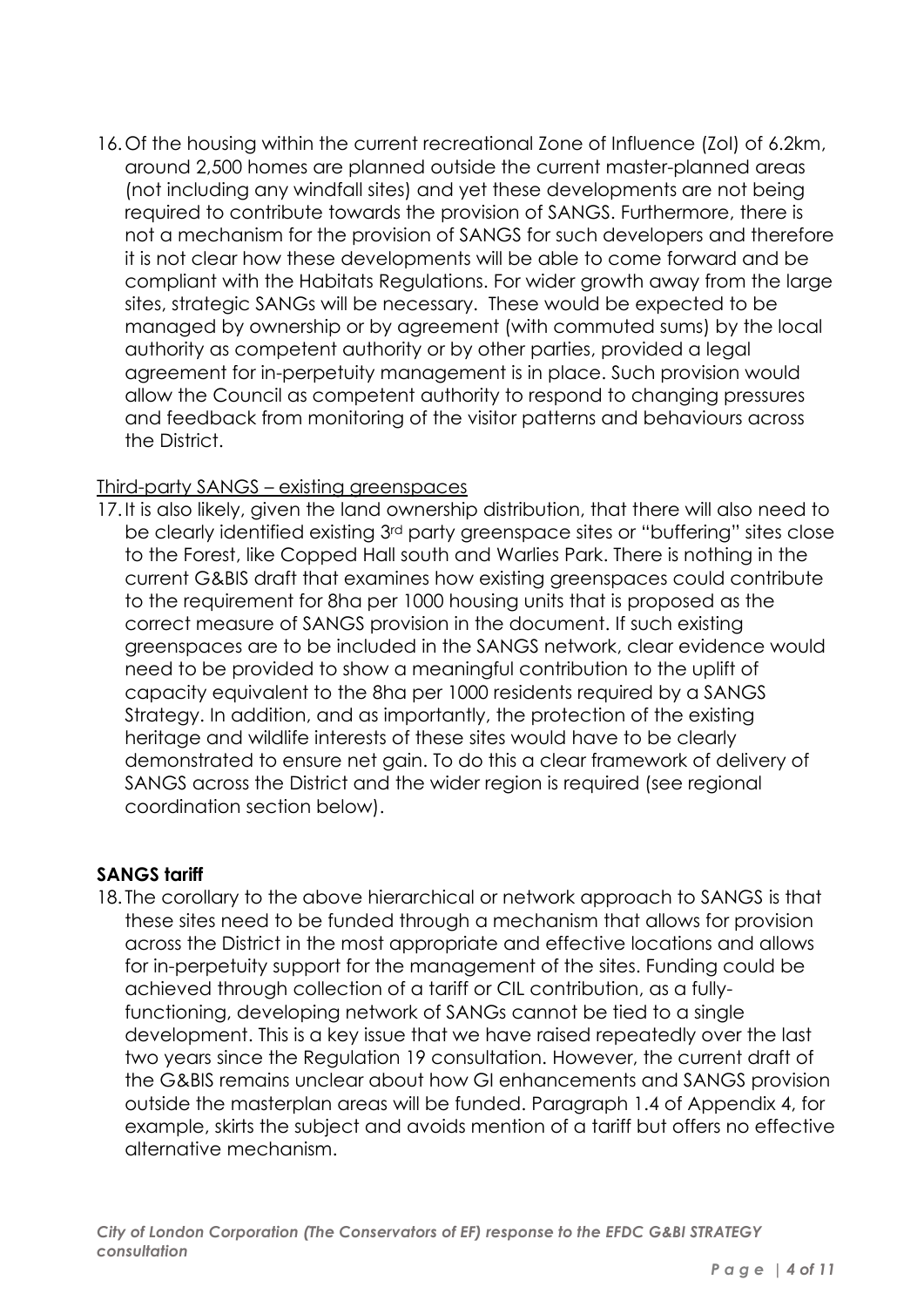16.Of the housing within the current recreational Zone of Influence (ZoI) of 6.2km, around 2,500 homes are planned outside the current master-planned areas (not including any windfall sites) and yet these developments are not being required to contribute towards the provision of SANGS. Furthermore, there is not a mechanism for the provision of SANGS for such developers and therefore it is not clear how these developments will be able to come forward and be compliant with the Habitats Regulations. For wider growth away from the large sites, strategic SANGs will be necessary. These would be expected to be managed by ownership or by agreement (with commuted sums) by the local authority as competent authority or by other parties, provided a legal agreement for in-perpetuity management is in place. Such provision would allow the Council as competent authority to respond to changing pressures and feedback from monitoring of the visitor patterns and behaviours across the District.

## Third-party SANGS – existing greenspaces

17.It is also likely, given the land ownership distribution, that there will also need to be clearly identified existing 3rd party greenspace sites or "buffering" sites close to the Forest, like Copped Hall south and Warlies Park. There is nothing in the current G&BIS draft that examines how existing greenspaces could contribute to the requirement for 8ha per 1000 housing units that is proposed as the correct measure of SANGS provision in the document. If such existing greenspaces are to be included in the SANGS network, clear evidence would need to be provided to show a meaningful contribution to the uplift of capacity equivalent to the 8ha per 1000 residents required by a SANGS Strategy. In addition, and as importantly, the protection of the existing heritage and wildlife interests of these sites would have to be clearly demonstrated to ensure net gain. To do this a clear framework of delivery of SANGS across the District and the wider region is required (see regional coordination section below).

#### **SANGS tariff**

18. The corollary to the above hierarchical or network approach to SANGS is that these sites need to be funded through a mechanism that allows for provision across the District in the most appropriate and effective locations and allows for in-perpetuity support for the management of the sites. Funding could be achieved through collection of a tariff or CIL contribution, as a fullyfunctioning, developing network of SANGs cannot be tied to a single development. This is a key issue that we have raised repeatedly over the last two years since the Regulation 19 consultation. However, the current draft of the G&BIS remains unclear about how GI enhancements and SANGS provision outside the masterplan areas will be funded. Paragraph 1.4 of Appendix 4, for example, skirts the subject and avoids mention of a tariff but offers no effective alternative mechanism.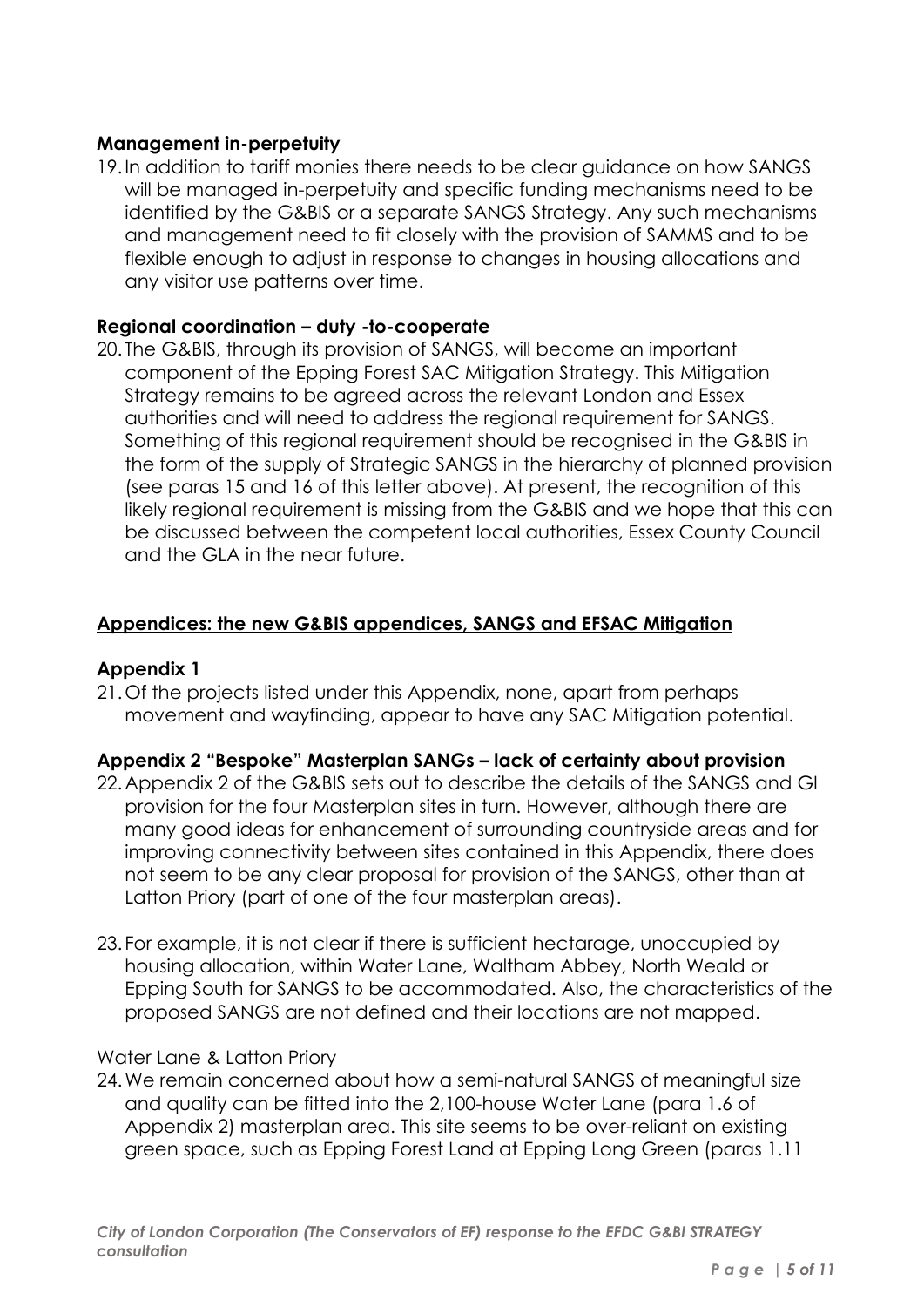### **Management in-perpetuity**

19.In addition to tariff monies there needs to be clear guidance on how SANGS will be managed in-perpetuity and specific funding mechanisms need to be identified by the G&BIS or a separate SANGS Strategy. Any such mechanisms and management need to fit closely with the provision of SAMMS and to be flexible enough to adjust in response to changes in housing allocations and any visitor use patterns over time.

#### **Regional coordination – duty -to-cooperate**

20. The G&BIS, through its provision of SANGS, will become an important component of the Epping Forest SAC Mitigation Strategy. This Mitigation Strategy remains to be agreed across the relevant London and Essex authorities and will need to address the regional requirement for SANGS. Something of this regional requirement should be recognised in the G&BIS in the form of the supply of Strategic SANGS in the hierarchy of planned provision (see paras 15 and 16 of this letter above). At present, the recognition of this likely regional requirement is missing from the G&BIS and we hope that this can be discussed between the competent local authorities, Essex County Council and the GLA in the near future.

#### **Appendices: the new G&BIS appendices, SANGS and EFSAC Mitigation**

#### **Appendix 1**

21.Of the projects listed under this Appendix, none, apart from perhaps movement and wayfinding, appear to have any SAC Mitigation potential.

#### **Appendix 2 "Bespoke" Masterplan SANGs – lack of certainty about provision**

- 22.Appendix 2 of the G&BIS sets out to describe the details of the SANGS and GI provision for the four Masterplan sites in turn. However, although there are many good ideas for enhancement of surrounding countryside areas and for improving connectivity between sites contained in this Appendix, there does not seem to be any clear proposal for provision of the SANGS, other than at Latton Priory (part of one of the four masterplan areas).
- 23. For example, it is not clear if there is sufficient hectarage, unoccupied by housing allocation, within Water Lane, Waltham Abbey, North Weald or Epping South for SANGS to be accommodated. Also, the characteristics of the proposed SANGS are not defined and their locations are not mapped.

#### Water Lane & Latton Priory

24.We remain concerned about how a semi-natural SANGS of meaningful size and quality can be fitted into the 2,100-house Water Lane (para 1.6 of Appendix 2) masterplan area. This site seems to be over-reliant on existing green space, such as Epping Forest Land at Epping Long Green (paras 1.11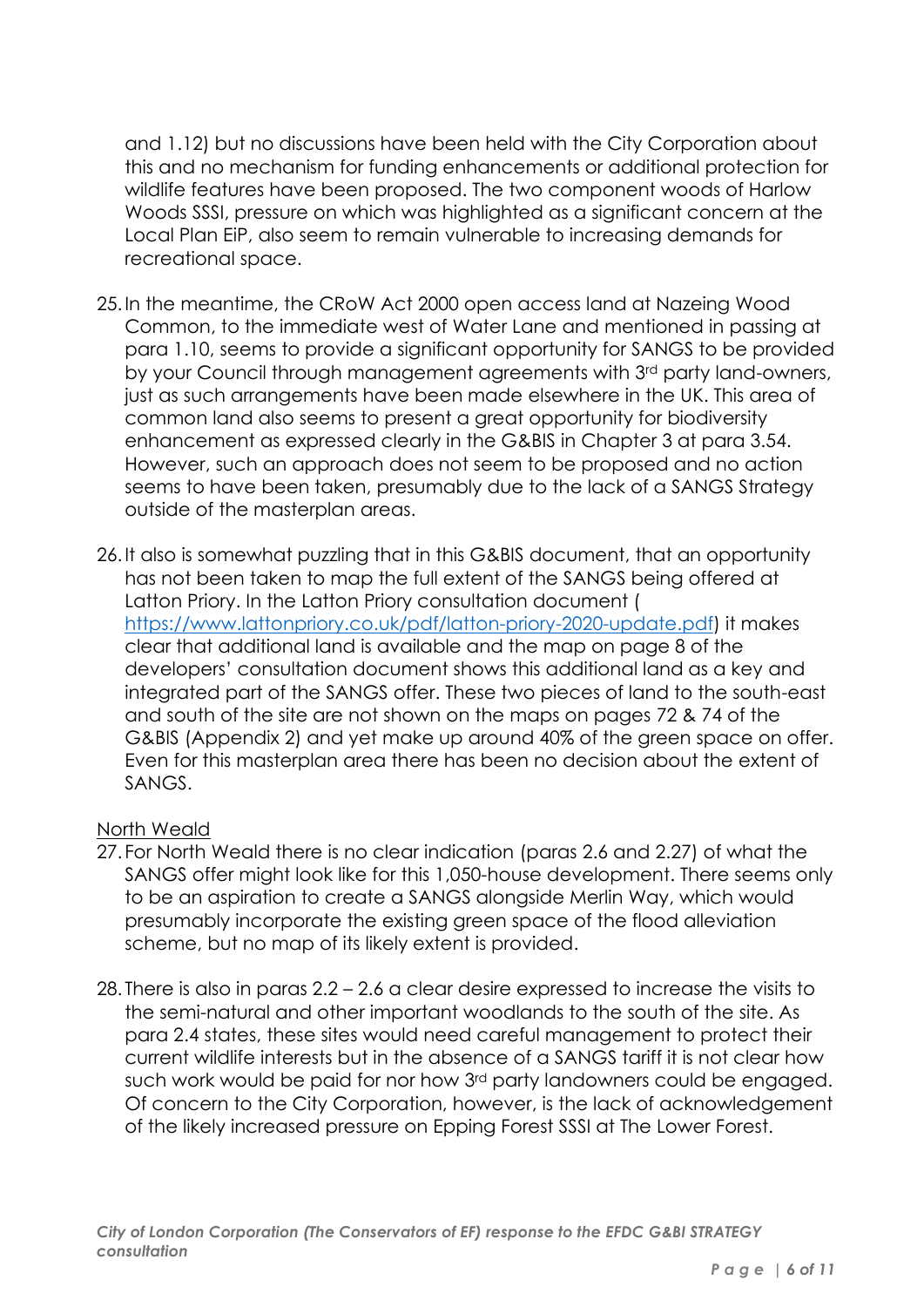and 1.12) but no discussions have been held with the City Corporation about this and no mechanism for funding enhancements or additional protection for wildlife features have been proposed. The two component woods of Harlow Woods SSSI, pressure on which was highlighted as a significant concern at the Local Plan EiP, also seem to remain vulnerable to increasing demands for recreational space.

- 25.In the meantime, the CRoW Act 2000 open access land at Nazeing Wood Common, to the immediate west of Water Lane and mentioned in passing at para 1.10, seems to provide a significant opportunity for SANGS to be provided by your Council through management agreements with 3rd party land-owners, just as such arrangements have been made elsewhere in the UK. This area of common land also seems to present a great opportunity for biodiversity enhancement as expressed clearly in the G&BIS in Chapter 3 at para 3.54. However, such an approach does not seem to be proposed and no action seems to have been taken, presumably due to the lack of a SANGS Strategy outside of the masterplan areas.
- 26.It also is somewhat puzzling that in this G&BIS document, that an opportunity has not been taken to map the full extent of the SANGS being offered at Latton Priory. In the Latton Priory consultation document ( https://www.lattonpriory.co.uk/pdf/latton-priory-2020-update.pdf) it makes clear that additional land is available and the map on page 8 of the developers' consultation document shows this additional land as a key and integrated part of the SANGS offer. These two pieces of land to the south-east and south of the site are not shown on the maps on pages 72 & 74 of the G&BIS (Appendix 2) and yet make up around 40% of the green space on offer. Even for this masterplan area there has been no decision about the extent of SANGS.

#### North Weald

- 27. For North Weald there is no clear indication (paras 2.6 and 2.27) of what the SANGS offer might look like for this 1,050-house development. There seems only to be an aspiration to create a SANGS alongside Merlin Way, which would presumably incorporate the existing green space of the flood alleviation scheme, but no map of its likely extent is provided.
- 28. There is also in paras 2.2 2.6 a clear desire expressed to increase the visits to the semi-natural and other important woodlands to the south of the site. As para 2.4 states, these sites would need careful management to protect their current wildlife interests but in the absence of a SANGS tariff it is not clear how such work would be paid for nor how 3rd party landowners could be engaged. Of concern to the City Corporation, however, is the lack of acknowledgement of the likely increased pressure on Epping Forest SSSI at The Lower Forest.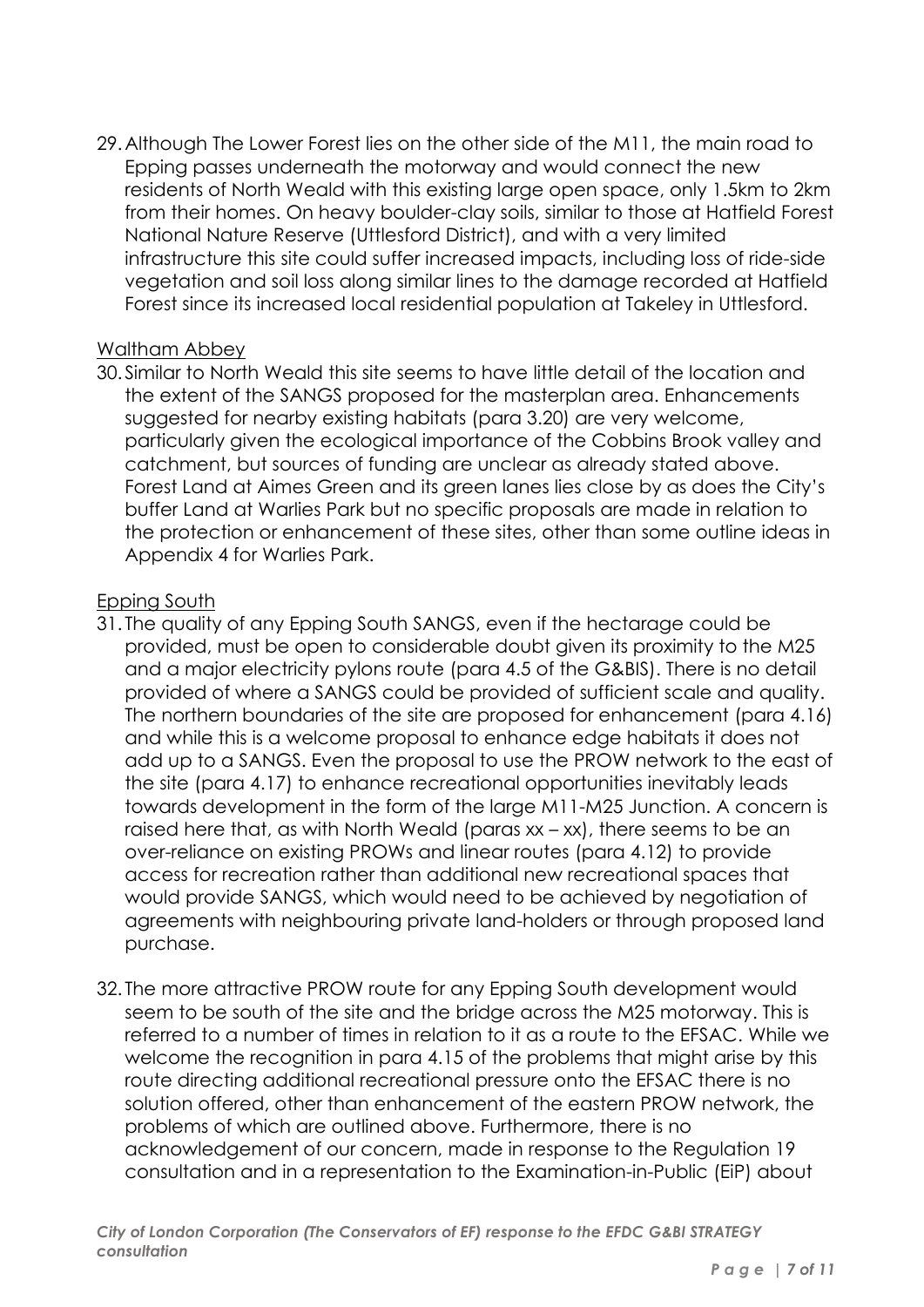29.Although The Lower Forest lies on the other side of the M11, the main road to Epping passes underneath the motorway and would connect the new residents of North Weald with this existing large open space, only 1.5km to 2km from their homes. On heavy boulder-clay soils, similar to those at Hatfield Forest National Nature Reserve (Uttlesford District), and with a very limited infrastructure this site could suffer increased impacts, including loss of ride-side vegetation and soil loss along similar lines to the damage recorded at Hatfield Forest since its increased local residential population at Takeley in Uttlesford.

#### Waltham Abbey

30. Similar to North Weald this site seems to have little detail of the location and the extent of the SANGS proposed for the masterplan area. Enhancements suggested for nearby existing habitats (para 3.20) are very welcome, particularly given the ecological importance of the Cobbins Brook valley and catchment, but sources of funding are unclear as already stated above. Forest Land at Aimes Green and its green lanes lies close by as does the City's buffer Land at Warlies Park but no specific proposals are made in relation to the protection or enhancement of these sites, other than some outline ideas in Appendix 4 for Warlies Park.

## Epping South

- 31. The quality of any Epping South SANGS, even if the hectarage could be provided, must be open to considerable doubt given its proximity to the M25 and a major electricity pylons route (para 4.5 of the G&BIS). There is no detail provided of where a SANGS could be provided of sufficient scale and quality. The northern boundaries of the site are proposed for enhancement (para 4.16) and while this is a welcome proposal to enhance edge habitats it does not add up to a SANGS. Even the proposal to use the PROW network to the east of the site (para 4.17) to enhance recreational opportunities inevitably leads towards development in the form of the large M11-M25 Junction. A concern is raised here that, as with North Weald (paras xx – xx), there seems to be an over-reliance on existing PROWs and linear routes (para 4.12) to provide access for recreation rather than additional new recreational spaces that would provide SANGS, which would need to be achieved by negotiation of agreements with neighbouring private land-holders or through proposed land purchase.
- 32. The more attractive PROW route for any Epping South development would seem to be south of the site and the bridge across the M25 motorway. This is referred to a number of times in relation to it as a route to the EFSAC. While we welcome the recognition in para 4.15 of the problems that might arise by this route directing additional recreational pressure onto the EFSAC there is no solution offered, other than enhancement of the eastern PROW network, the problems of which are outlined above. Furthermore, there is no acknowledgement of our concern, made in response to the Regulation 19 consultation and in a representation to the Examination-in-Public (EiP) about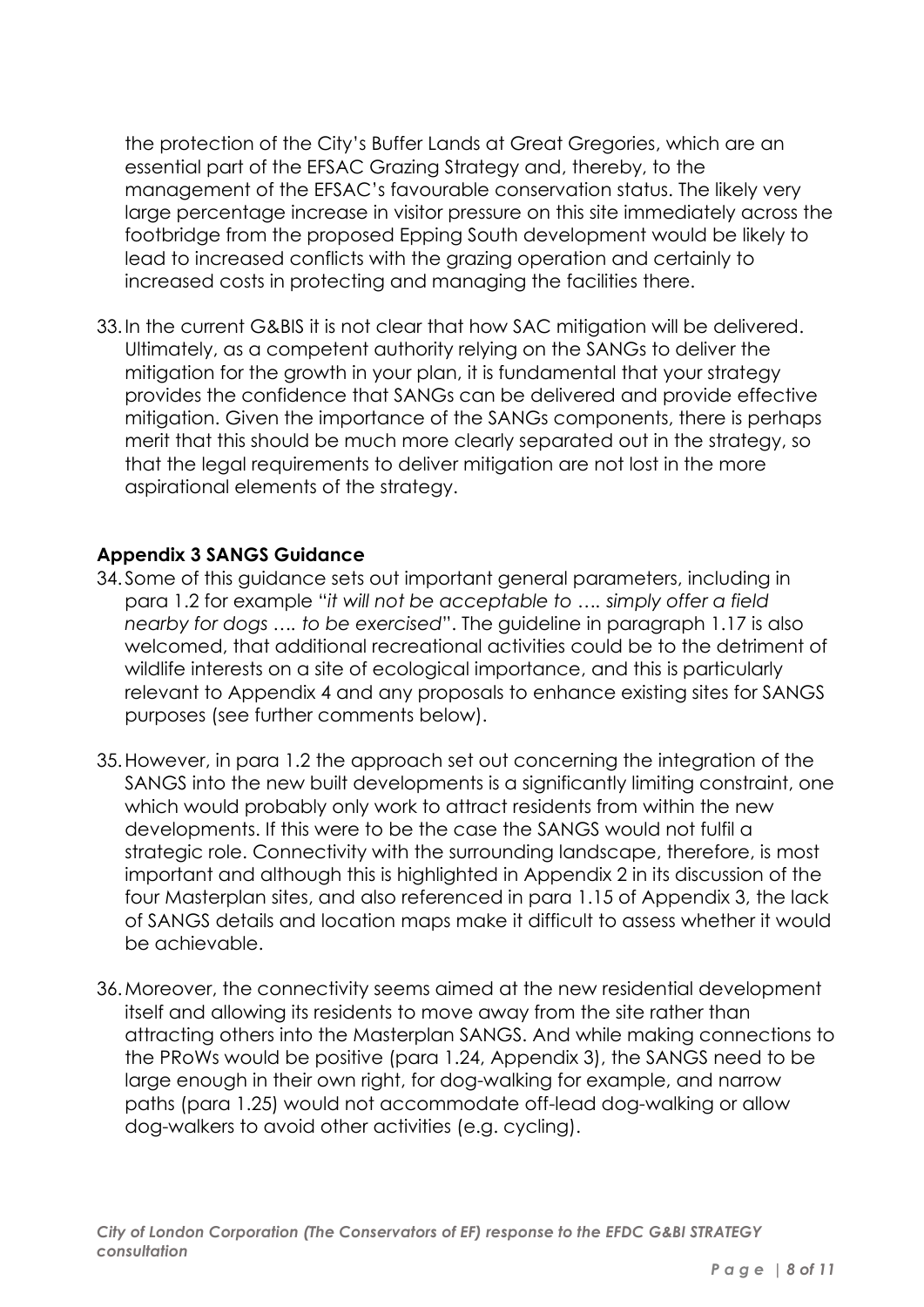the protection of the City's Buffer Lands at Great Gregories, which are an essential part of the EFSAC Grazing Strategy and, thereby, to the management of the EFSAC's favourable conservation status. The likely very large percentage increase in visitor pressure on this site immediately across the footbridge from the proposed Epping South development would be likely to lead to increased conflicts with the grazing operation and certainly to increased costs in protecting and managing the facilities there.

33.In the current G&BIS it is not clear that how SAC mitigation will be delivered. Ultimately, as a competent authority relying on the SANGs to deliver the mitigation for the growth in your plan, it is fundamental that your strategy provides the confidence that SANGs can be delivered and provide effective mitigation. Given the importance of the SANGs components, there is perhaps merit that this should be much more clearly separated out in the strategy, so that the legal requirements to deliver mitigation are not lost in the more aspirational elements of the strategy.

## **Appendix 3 SANGS Guidance**

- 34. Some of this guidance sets out important general parameters, including in para 1.2 for example "*it will not be acceptable to …. simply offer a field nearby for dogs …. to be exercised*". The guideline in paragraph 1.17 is also welcomed, that additional recreational activities could be to the detriment of wildlife interests on a site of ecological importance, and this is particularly relevant to Appendix 4 and any proposals to enhance existing sites for SANGS purposes (see further comments below).
- 35.However, in para 1.2 the approach set out concerning the integration of the SANGS into the new built developments is a significantly limiting constraint, one which would probably only work to attract residents from within the new developments. If this were to be the case the SANGS would not fulfil a strategic role. Connectivity with the surrounding landscape, therefore, is most important and although this is highlighted in Appendix 2 in its discussion of the four Masterplan sites, and also referenced in para 1.15 of Appendix 3, the lack of SANGS details and location maps make it difficult to assess whether it would be achievable.
- 36.Moreover, the connectivity seems aimed at the new residential development itself and allowing its residents to move away from the site rather than attracting others into the Masterplan SANGS. And while making connections to the PRoWs would be positive (para 1.24, Appendix 3), the SANGS need to be large enough in their own right, for dog-walking for example, and narrow paths (para 1.25) would not accommodate off-lead dog-walking or allow dog-walkers to avoid other activities (e.g. cycling).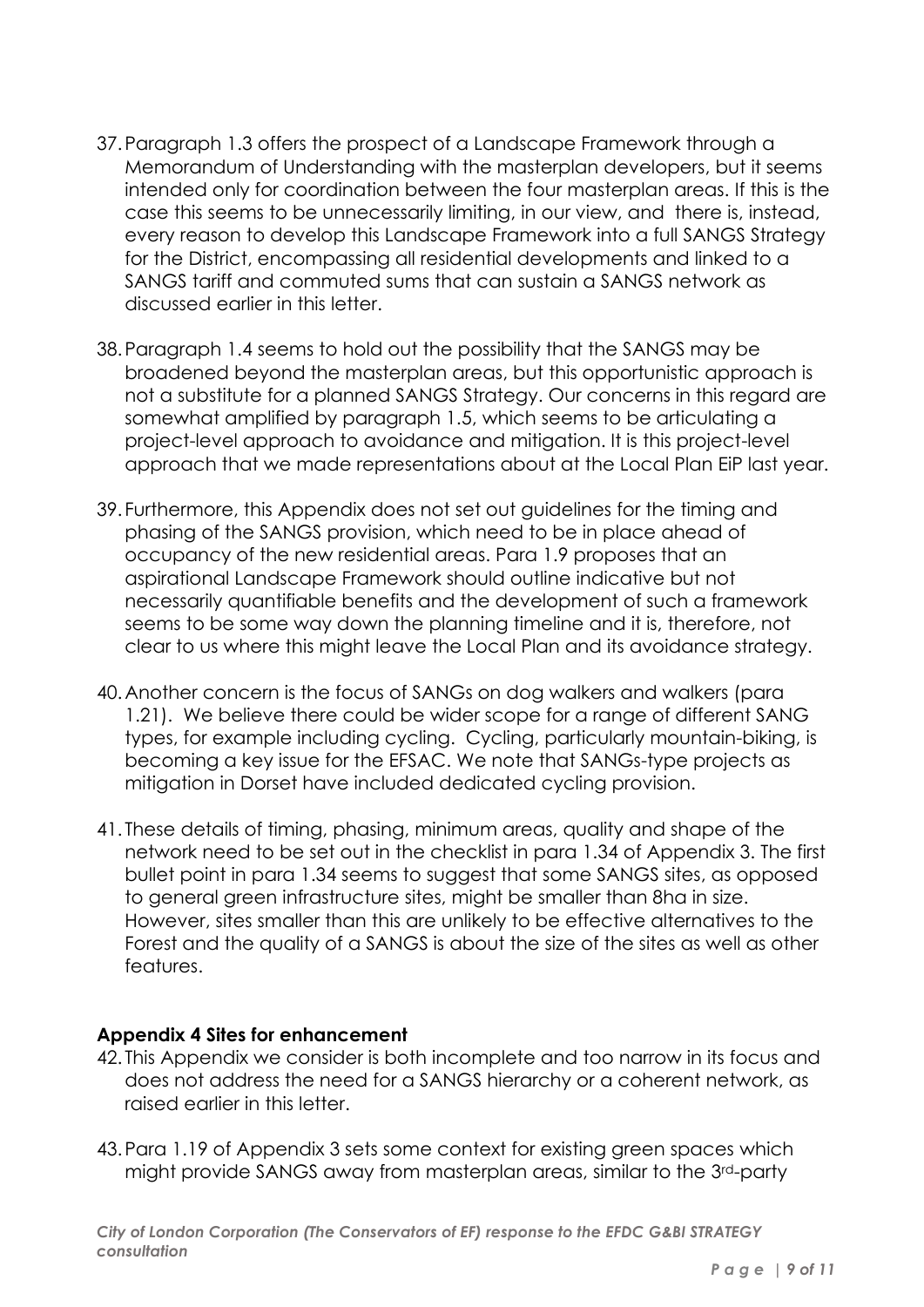- 37.Paragraph 1.3 offers the prospect of a Landscape Framework through a Memorandum of Understanding with the masterplan developers, but it seems intended only for coordination between the four masterplan areas. If this is the case this seems to be unnecessarily limiting, in our view, and there is, instead, every reason to develop this Landscape Framework into a full SANGS Strategy for the District, encompassing all residential developments and linked to a SANGS tariff and commuted sums that can sustain a SANGS network as discussed earlier in this letter.
- 38.Paragraph 1.4 seems to hold out the possibility that the SANGS may be broadened beyond the masterplan areas, but this opportunistic approach is not a substitute for a planned SANGS Strategy. Our concerns in this regard are somewhat amplified by paragraph 1.5, which seems to be articulating a project-level approach to avoidance and mitigation. It is this project-level approach that we made representations about at the Local Plan EiP last year.
- 39. Furthermore, this Appendix does not set out guidelines for the timing and phasing of the SANGS provision, which need to be in place ahead of occupancy of the new residential areas. Para 1.9 proposes that an aspirational Landscape Framework should outline indicative but not necessarily quantifiable benefits and the development of such a framework seems to be some way down the planning timeline and it is, therefore, not clear to us where this might leave the Local Plan and its avoidance strategy.
- 40.Another concern is the focus of SANGs on dog walkers and walkers (para 1.21). We believe there could be wider scope for a range of different SANG types, for example including cycling. Cycling, particularly mountain-biking, is becoming a key issue for the EFSAC. We note that SANGs-type projects as mitigation in Dorset have included dedicated cycling provision.
- 41. These details of timing, phasing, minimum areas, quality and shape of the network need to be set out in the checklist in para 1.34 of Appendix 3. The first bullet point in para 1.34 seems to suggest that some SANGS sites, as opposed to general green infrastructure sites, might be smaller than 8ha in size. However, sites smaller than this are unlikely to be effective alternatives to the Forest and the quality of a SANGS is about the size of the sites as well as other features.

#### **Appendix 4 Sites for enhancement**

- 42. This Appendix we consider is both incomplete and too narrow in its focus and does not address the need for a SANGS hierarchy or a coherent network, as raised earlier in this letter.
- 43.Para 1.19 of Appendix 3 sets some context for existing green spaces which might provide SANGS away from masterplan areas, similar to the 3rd-party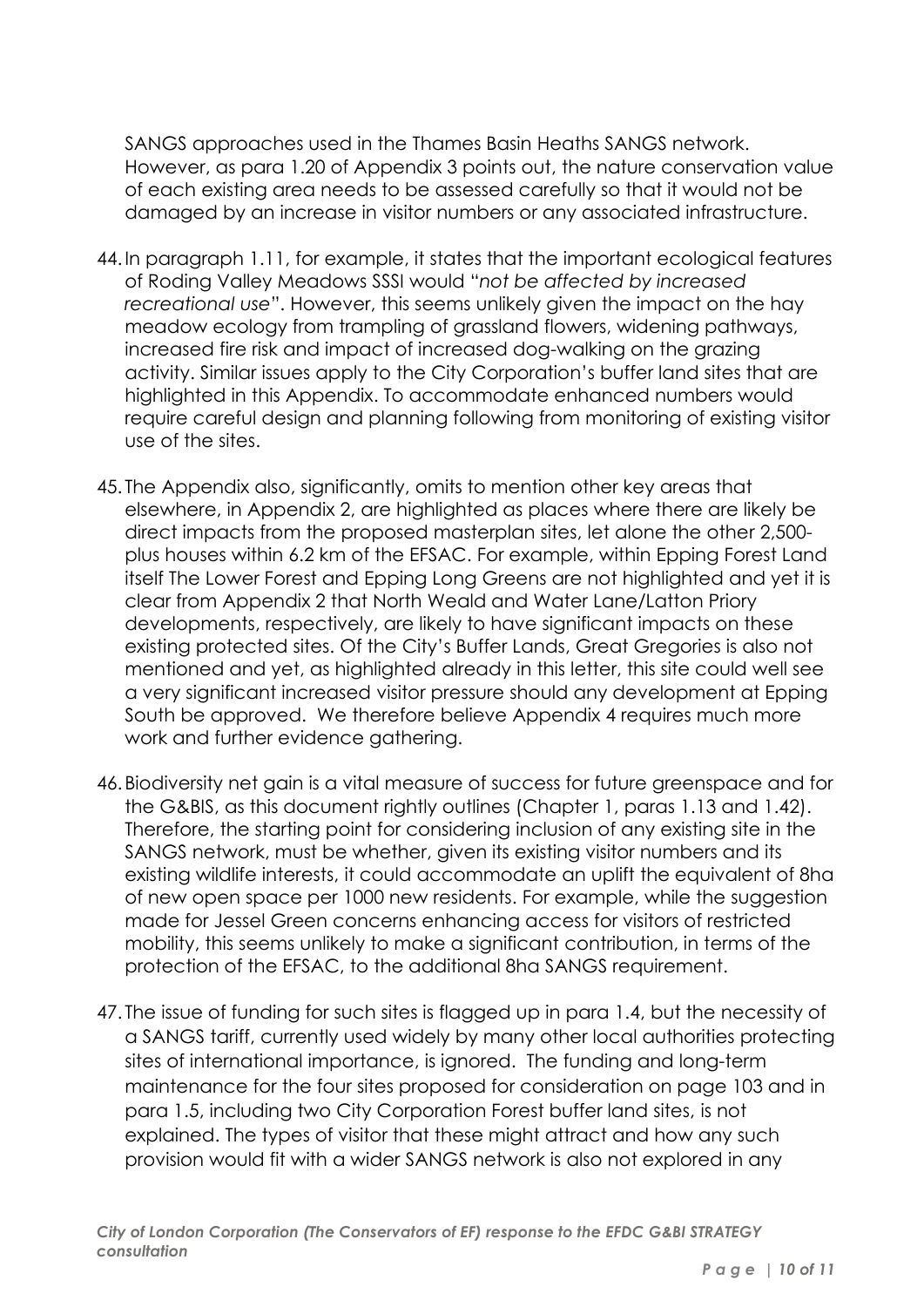SANGS approaches used in the Thames Basin Heaths SANGS network. However, as para 1.20 of Appendix 3 points out, the nature conservation value of each existing area needs to be assessed carefully so that it would not be damaged by an increase in visitor numbers or any associated infrastructure.

- 44.In paragraph 1.11, for example, it states that the important ecological features of Roding Valley Meadows SSSI would "*not be affected by increased recreational use*". However, this seems unlikely given the impact on the hay meadow ecology from trampling of grassland flowers, widening pathways, increased fire risk and impact of increased dog-walking on the grazing activity. Similar issues apply to the City Corporation's buffer land sites that are highlighted in this Appendix. To accommodate enhanced numbers would require careful design and planning following from monitoring of existing visitor use of the sites.
- 45. The Appendix also, significantly, omits to mention other key areas that elsewhere, in Appendix 2, are highlighted as places where there are likely be direct impacts from the proposed masterplan sites, let alone the other 2,500 plus houses within 6.2 km of the EFSAC. For example, within Epping Forest Land itself The Lower Forest and Epping Long Greens are not highlighted and yet it is clear from Appendix 2 that North Weald and Water Lane/Latton Priory developments, respectively, are likely to have significant impacts on these existing protected sites. Of the City's Buffer Lands, Great Gregories is also not mentioned and yet, as highlighted already in this letter, this site could well see a very significant increased visitor pressure should any development at Epping South be approved. We therefore believe Appendix 4 requires much more work and further evidence gathering.
- 46.Biodiversity net gain is a vital measure of success for future greenspace and for the G&BIS, as this document rightly outlines (Chapter 1, paras 1.13 and 1.42). Therefore, the starting point for considering inclusion of any existing site in the SANGS network, must be whether, given its existing visitor numbers and its existing wildlife interests, it could accommodate an uplift the equivalent of 8ha of new open space per 1000 new residents. For example, while the suggestion made for Jessel Green concerns enhancing access for visitors of restricted mobility, this seems unlikely to make a significant contribution, in terms of the protection of the EFSAC, to the additional 8ha SANGS requirement.
- 47. The issue of funding for such sites is flagged up in para 1.4, but the necessity of a SANGS tariff, currently used widely by many other local authorities protecting sites of international importance, is ignored. The funding and long-term maintenance for the four sites proposed for consideration on page 103 and in para 1.5, including two City Corporation Forest buffer land sites, is not explained. The types of visitor that these might attract and how any such provision would fit with a wider SANGS network is also not explored in any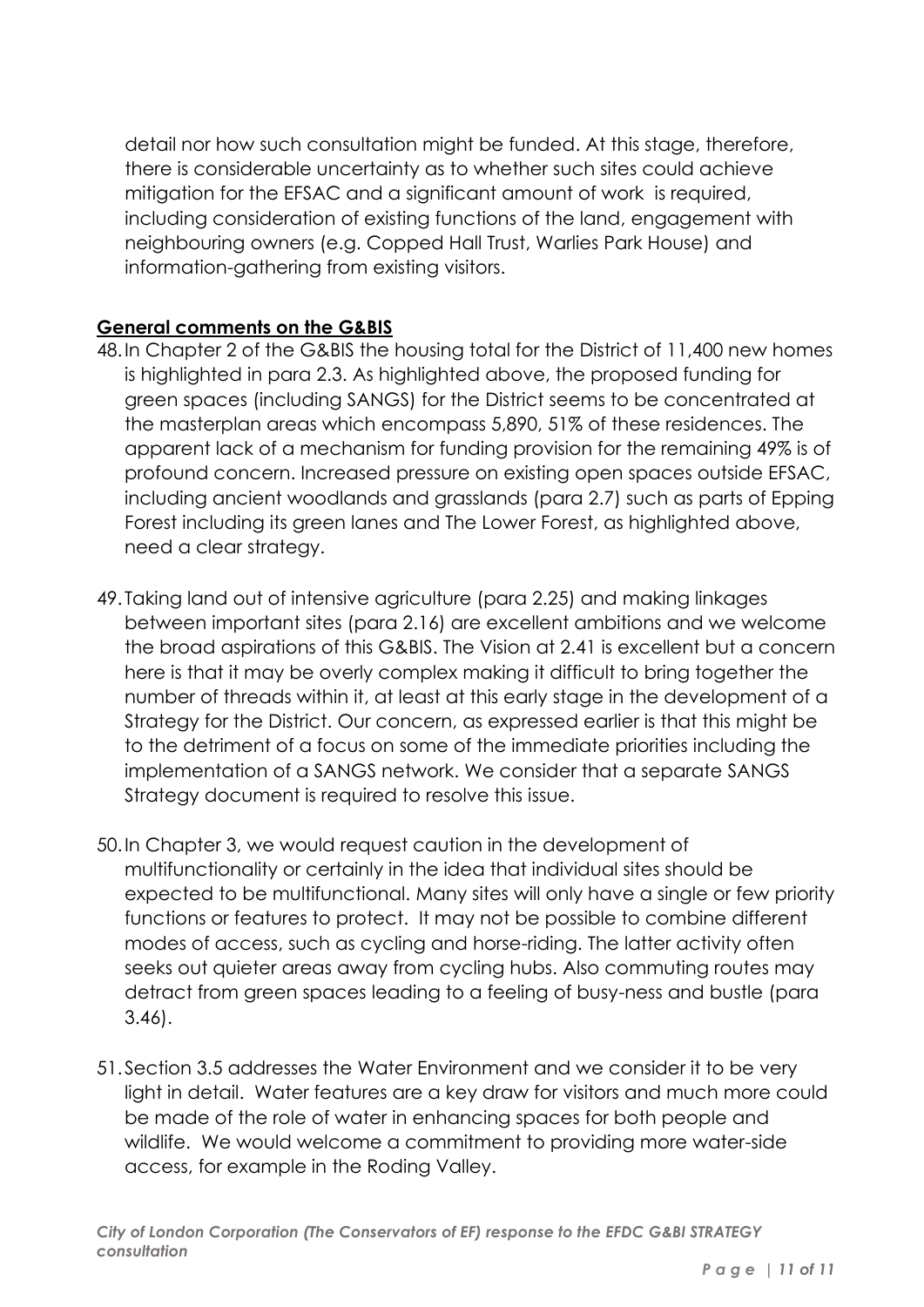detail nor how such consultation might be funded. At this stage, therefore, there is considerable uncertainty as to whether such sites could achieve mitigation for the EFSAC and a significant amount of work is required, including consideration of existing functions of the land, engagement with neighbouring owners (e.g. Copped Hall Trust, Warlies Park House) and information-gathering from existing visitors.

# **General comments on the G&BIS**

- 48.In Chapter 2 of the G&BIS the housing total for the District of 11,400 new homes is highlighted in para 2.3. As highlighted above, the proposed funding for green spaces (including SANGS) for the District seems to be concentrated at the masterplan areas which encompass 5,890, 51% of these residences. The apparent lack of a mechanism for funding provision for the remaining 49% is of profound concern. Increased pressure on existing open spaces outside EFSAC, including ancient woodlands and grasslands (para 2.7) such as parts of Epping Forest including its green lanes and The Lower Forest, as highlighted above, need a clear strategy.
- 49. Taking land out of intensive agriculture (para 2.25) and making linkages between important sites (para 2.16) are excellent ambitions and we welcome the broad aspirations of this G&BIS. The Vision at 2.41 is excellent but a concern here is that it may be overly complex making it difficult to bring together the number of threads within it, at least at this early stage in the development of a Strategy for the District. Our concern, as expressed earlier is that this might be to the detriment of a focus on some of the immediate priorities including the implementation of a SANGS network. We consider that a separate SANGS Strategy document is required to resolve this issue.
- 50.In Chapter 3, we would request caution in the development of multifunctionality or certainly in the idea that individual sites should be expected to be multifunctional. Many sites will only have a single or few priority functions or features to protect. It may not be possible to combine different modes of access, such as cycling and horse-riding. The latter activity often seeks out quieter areas away from cycling hubs. Also commuting routes may detract from green spaces leading to a feeling of busy-ness and bustle (para 3.46).
- 51.Section 3.5 addresses the Water Environment and we consider it to be very light in detail. Water features are a key draw for visitors and much more could be made of the role of water in enhancing spaces for both people and wildlife. We would welcome a commitment to providing more water-side access, for example in the Roding Valley.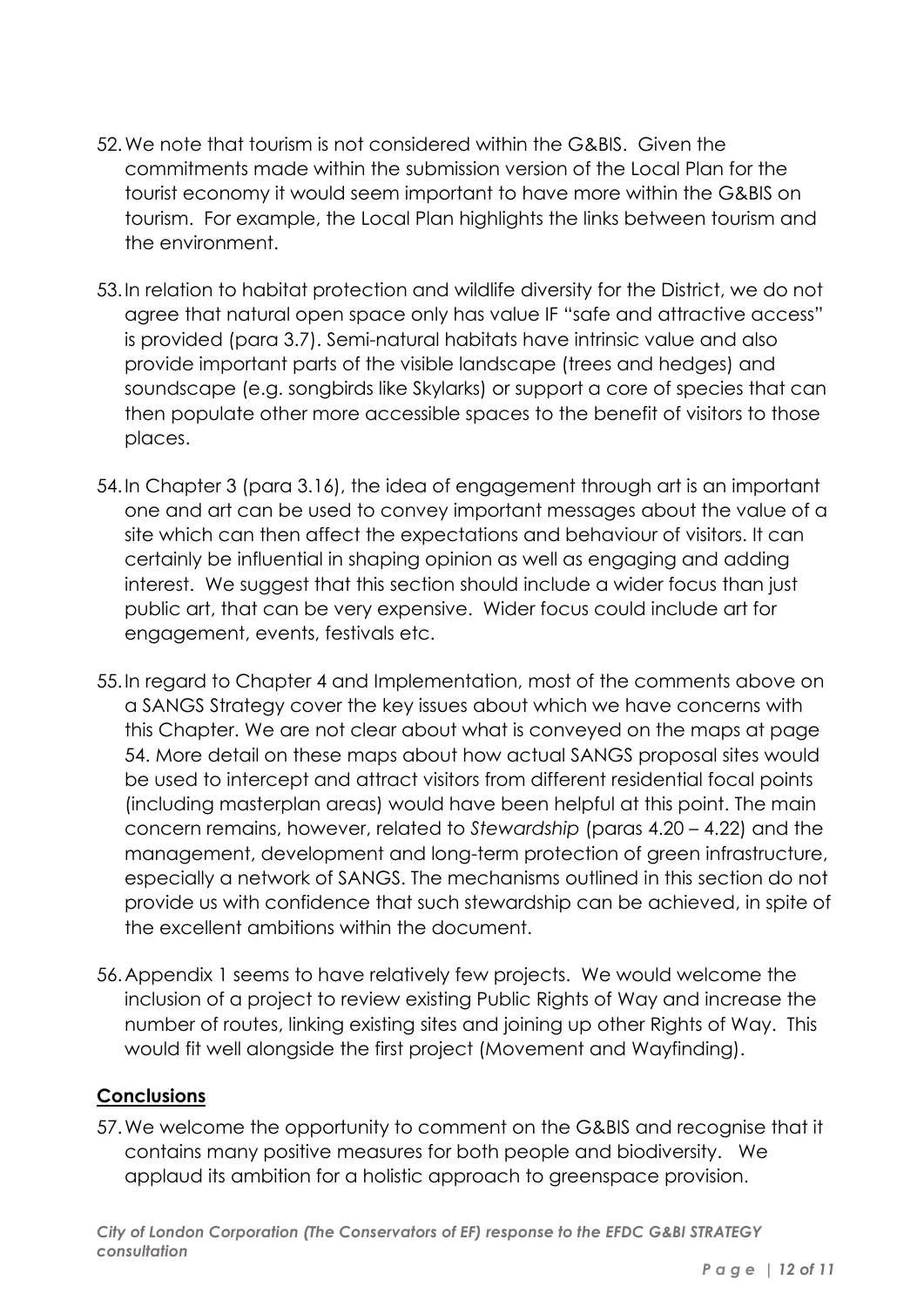- 52.We note that tourism is not considered within the G&BIS. Given the commitments made within the submission version of the Local Plan for the tourist economy it would seem important to have more within the G&BIS on tourism. For example, the Local Plan highlights the links between tourism and the environment.
- 53.In relation to habitat protection and wildlife diversity for the District, we do not agree that natural open space only has value IF "safe and attractive access" is provided (para 3.7). Semi-natural habitats have intrinsic value and also provide important parts of the visible landscape (trees and hedges) and soundscape (e.g. songbirds like Skylarks) or support a core of species that can then populate other more accessible spaces to the benefit of visitors to those places.
- 54.In Chapter 3 (para 3.16), the idea of engagement through art is an important one and art can be used to convey important messages about the value of a site which can then affect the expectations and behaviour of visitors. It can certainly be influential in shaping opinion as well as engaging and adding interest. We suggest that this section should include a wider focus than just public art, that can be very expensive. Wider focus could include art for engagement, events, festivals etc.
- 55.In regard to Chapter 4 and Implementation, most of the comments above on a SANGS Strategy cover the key issues about which we have concerns with this Chapter. We are not clear about what is conveyed on the maps at page 54. More detail on these maps about how actual SANGS proposal sites would be used to intercept and attract visitors from different residential focal points (including masterplan areas) would have been helpful at this point. The main concern remains, however, related to *Stewardship* (paras 4.20 – 4.22) and the management, development and long-term protection of green infrastructure, especially a network of SANGS. The mechanisms outlined in this section do not provide us with confidence that such stewardship can be achieved, in spite of the excellent ambitions within the document.
- 56.Appendix 1 seems to have relatively few projects. We would welcome the inclusion of a project to review existing Public Rights of Way and increase the number of routes, linking existing sites and joining up other Rights of Way. This would fit well alongside the first project (Movement and Wayfinding).

#### **Conclusions**

57.We welcome the opportunity to comment on the G&BIS and recognise that it contains many positive measures for both people and biodiversity. We applaud its ambition for a holistic approach to greenspace provision.